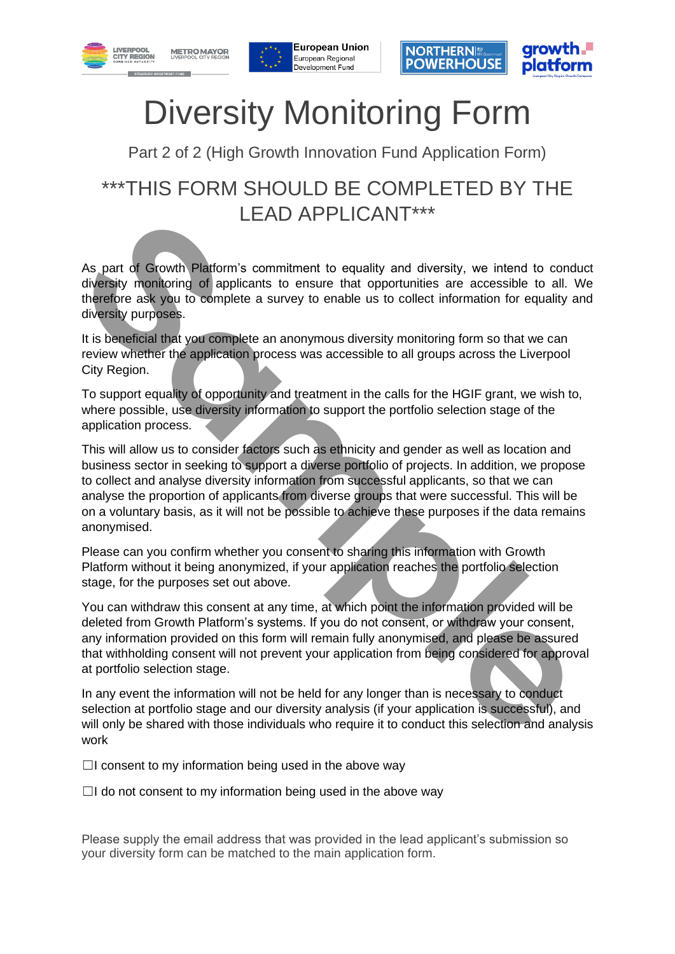







# Diversity Monitoring Form

Part 2 of 2 (High Growth Innovation Fund Application Form)

## \*\*\*THIS FORM SHOULD BE COMPLETED BY THE LEAD APPLICANT\*\*\*

As part of Growth Platform's commitment to equality and diversity, we intend to conduct diversity monitoring of applicants to ensure that opportunities are accessible to all. We therefore ask you to complete a survey to enable us to collect information for equality and diversity purposes.

It is beneficial that you complete an anonymous diversity monitoring form so that we can review whether the application process was accessible to all groups across the Liverpool City Region.

To support equality of opportunity and treatment in the calls for the HGIF grant, we wish to, where possible, use diversity information to support the portfolio selection stage of the application process.

This will allow us to consider factors such as ethnicity and gender as well as location and business sector in seeking to support a diverse portfolio of projects. In addition, we propose to collect and analyse diversity information from successful applicants, so that we can analyse the proportion of applicants from diverse groups that were successful. This will be on a voluntary basis, as it will not be possible to achieve these purposes if the data remains anonymised. **EXECT AND APPELICANT**<br>As part of Growth Platform's commitment to equality and diversity, we intend to cond<br>diversity monitoring of applicants to ensure that opportunities are accessible to all. V<br>therefore ask you to comp

Please can you confirm whether you consent to sharing this information with Growth Platform without it being anonymized, if your application reaches the portfolio selection stage, for the purposes set out above.

You can withdraw this consent at any time, at which point the information provided will be deleted from Growth Platform's systems. If you do not consent, or withdraw your consent, any information provided on this form will remain fully anonymised, and please be assured that withholding consent will not prevent your application from being considered for approval at portfolio selection stage.

In any event the information will not be held for any longer than is necessary to conduct selection at portfolio stage and our diversity analysis (if your application is successful), and will only be shared with those individuals who require it to conduct this selection and analysis work

 $\Box$ I consent to my information being used in the above way

 $\Box$ I do not consent to my information being used in the above way

Please supply the email address that was provided in the lead applicant's submission so your diversity form can be matched to the main application form.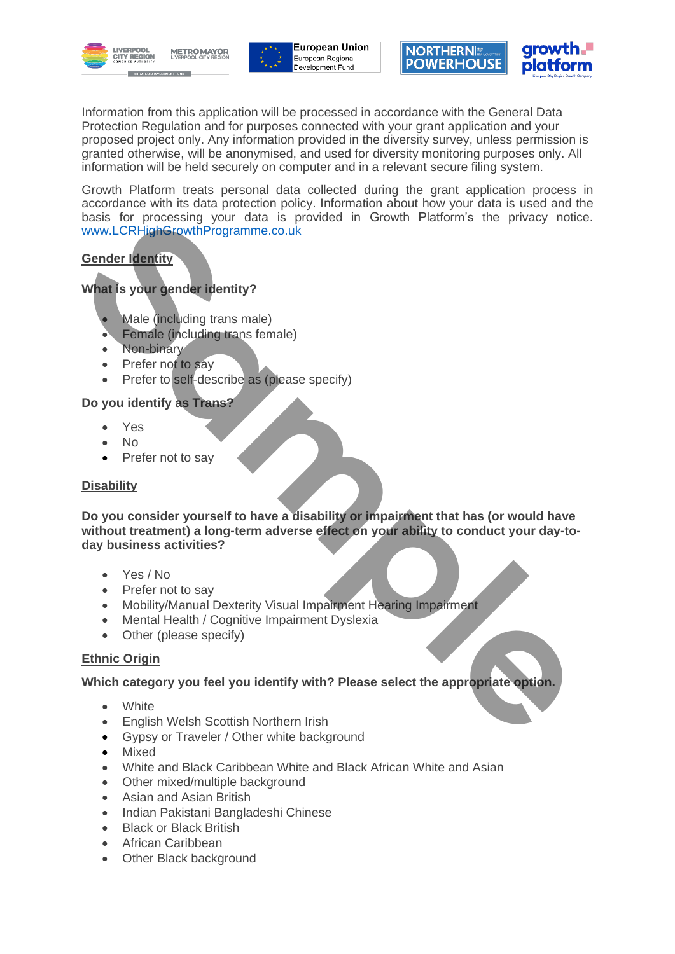





Information from this application will be processed in accordance with the General Data Protection Regulation and for purposes connected with your grant application and your proposed project only. Any information provided in the diversity survey, unless permission is granted otherwise, will be anonymised, and used for diversity monitoring purposes only. All information will be held securely on computer and in a relevant secure filing system.

Growth Platform treats personal data collected during the grant application process in accordance with its data protection policy. Information about how your data is used and the basis for processing your data is provided in Growth Platform's the privacy notice. www.LCRHighGrowthProgramme.co.uk

#### **Gender Identity**

### **What is your gender identity?**

- Male (including trans male)
- Female (including trans female)
- Non-binary
- Prefer not to say
- Prefer to self-describe as (please specify)

#### **Do you identify as Trans?**

- Yes
- No
- Prefer not to say

#### **Disability**

**Do you consider yourself to have a disability or impairment that has (or would have without treatment) a long-term adverse effect on your ability to conduct your day-today business activities?** basis for processing your data is provided in Growth Platform's the privacy notice<br>
sender Identity<br>
What Is your gender Identity?<br>
What Is your gender Identity?<br>
What Is your gender Identity?<br>
What Is your gender Identity

- Yes / No
- Prefer not to say
- Mobility/Manual Dexterity Visual Impairment Hearing Impairment
- Mental Health / Cognitive Impairment Dyslexia
- Other (please specify)

#### **Ethnic Origin**

#### **Which category you feel you identify with? Please select the appropriate option.**

- White
- English Welsh Scottish Northern Irish
- Gypsy or Traveler / Other white background
- Mixed
- White and Black Caribbean White and Black African White and Asian
- Other mixed/multiple background
- Asian and Asian British
- Indian Pakistani Bangladeshi Chinese
- Black or Black British
- African Caribbean
- Other Black background